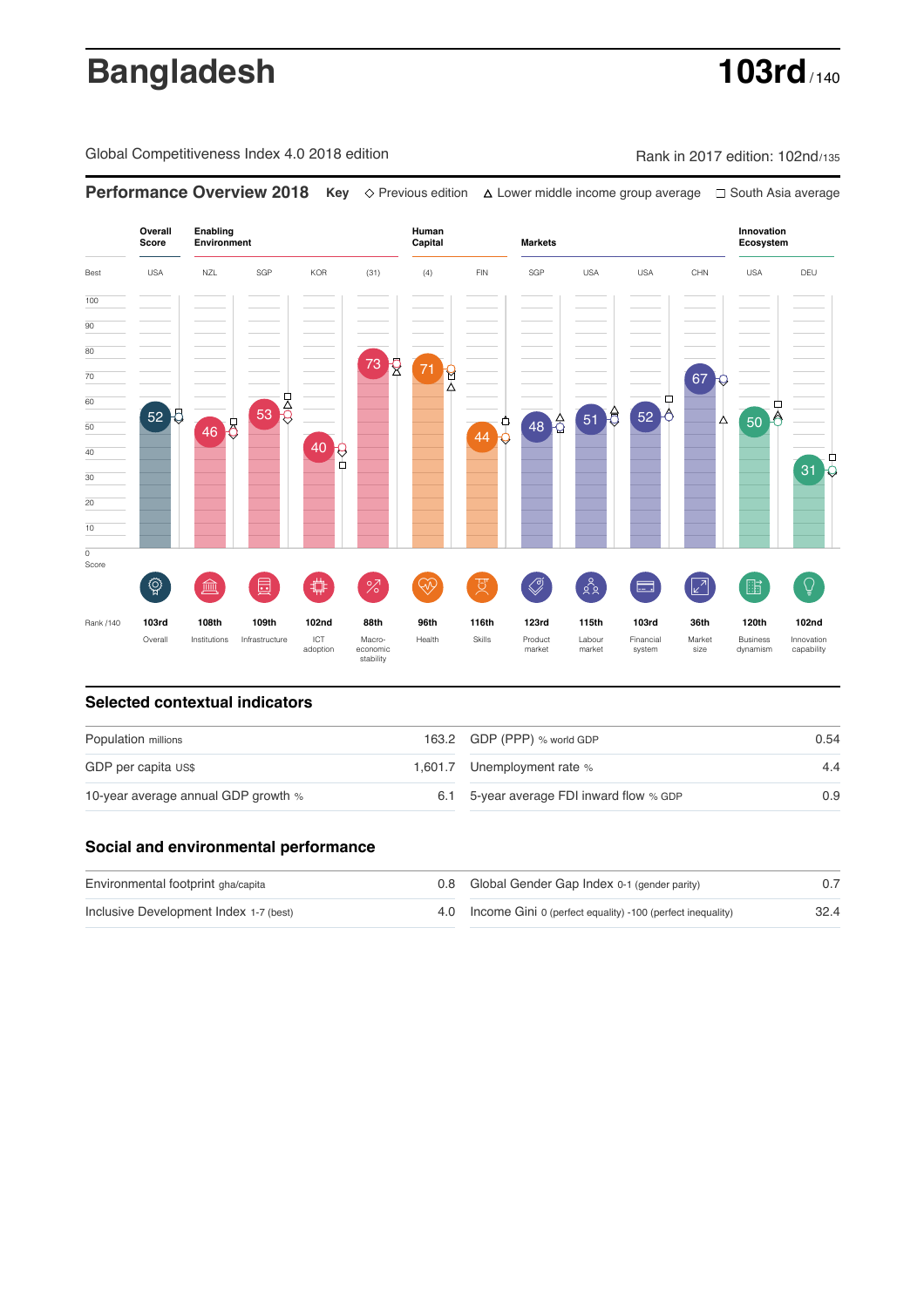# **Bangladesh 103rd**

Global Competitiveness Index 4.0 2018 edition Rank in 2017 edition: 102nd/135

**Performance Overview 2018 Key** Previous edition Lower middle income group average South Asia average **Overall Innovation Enabling Environment Human Capital Markets Score Ecosystem** Best USA NZL SGP KOR (31) (4) FIN SGP USA USA CHN USA DEU 100  $\overline{90}$ 80 73 R 71 R 70 67  $53<sup>11</sup>$ 60  $51 - \frac{1}{52}$  52  $\overline{50}$   $\overline{6}$ 52 F  $48<sup>2</sup>$ </mark> Δ 50 46 8 44 0  $\left. \frac{40}{10} \right\}$ 40 ◻ 31 30 20 10  $\overline{\text{o}}$ Score ៍{៌្ម}  $\oslash$  $88$  $\overline{Q}$ **ledge (** 茴 %)(  $\circledcirc$  ( ਸ਼ੁ 击  $\sqrt{2}$ 脂 E Rank /140 **103rd 108th 109th 102nd 88th 96th 116th 123rd 115th 103rd 36th 120th 102nd** Overall Institutions Infrastructure ICT<br>adoption adoption Macro- economic stability Health Skills Product market Labour<br>market Financial system Market size Business dynamism Innovation capability

### **Selected contextual indicators**

| Population millions                 | 163.2 GDP (PPP) % world GDP              | 0.54 |  |
|-------------------------------------|------------------------------------------|------|--|
| GDP per capita US\$                 | 1,601.7 Unemployment rate %              | 4.4  |  |
| 10-year average annual GDP growth % | 6.1 5-year average FDI inward flow % GDP | 0.9  |  |

### **Social and environmental performance**

| Environmental footprint gha/capita     |  | 0.8 Global Gender Gap Index 0-1 (gender parity)                |      |
|----------------------------------------|--|----------------------------------------------------------------|------|
| Inclusive Development Index 1-7 (best) |  | 4.0 Income Gini 0 (perfect equality) -100 (perfect inequality) | 32.4 |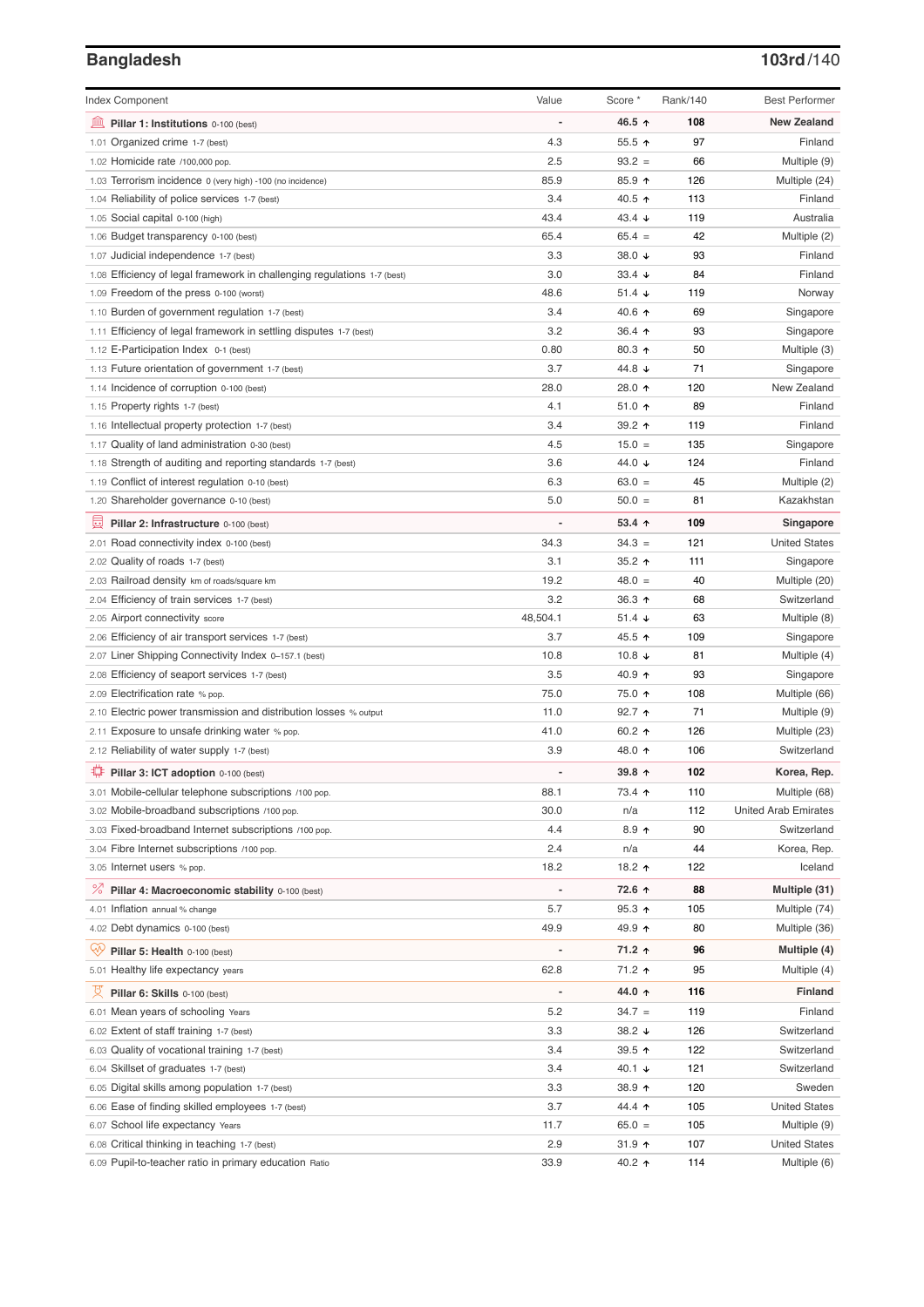# **Bangladesh 103rd**/140

| <b>Index Component</b>                                                   | Value          | Score *         | Rank/140 | <b>Best Performer</b>       |
|--------------------------------------------------------------------------|----------------|-----------------|----------|-----------------------------|
| 寙<br>Pillar 1: Institutions 0-100 (best)                                 |                | 46.5 ↑          | 108      | <b>New Zealand</b>          |
| Organized crime 1-7 (best)<br>1.01                                       | 4.3            | 55.5 ↑          | 97       | Finland                     |
| 1.02 Homicide rate /100,000 pop.                                         | 2.5            | $93.2 =$        | 66       | Multiple (9)                |
| 1.03 Terrorism incidence 0 (very high) -100 (no incidence)               | 85.9           | 85.9 ↑          | 126      | Multiple (24)               |
| 1.04 Reliability of police services 1-7 (best)                           | 3.4            | 40.5 ↑          | 113      | Finland                     |
| 1.05 Social capital 0-100 (high)                                         | 43.4           | 43.4 $\sqrt{ }$ | 119      | Australia                   |
| 1.06 Budget transparency 0-100 (best)                                    | 65.4           | $65.4 =$        | 42       | Multiple (2)                |
| 1.07 Judicial independence 1-7 (best)                                    | 3.3            | 38.0 ↓          | 93       | Finland                     |
| 1.08 Efficiency of legal framework in challenging regulations 1-7 (best) | 3.0            | 33.4 $\sqrt{ }$ | 84       | Finland                     |
| 1.09 Freedom of the press 0-100 (worst)                                  | 48.6           | $51.4 +$        | 119      | Norway                      |
| 1.10 Burden of government regulation 1-7 (best)                          | 3.4            | 40.6 ↑          | 69       | Singapore                   |
| 1.11 Efficiency of legal framework in settling disputes 1-7 (best)       | 3.2            | 36.4 $\uparrow$ | 93       | Singapore                   |
| 1.12 E-Participation Index 0-1 (best)                                    | 0.80           | 80.3 ↑          | 50       | Multiple (3)                |
| 1.13 Future orientation of government 1-7 (best)                         | 3.7            | 44.8 ↓          | 71       | Singapore                   |
| 1.14 Incidence of corruption 0-100 (best)                                | 28.0           | 28.0 ↑          | 120      | New Zealand                 |
| 1.15 Property rights 1-7 (best)                                          | 4.1            | $51.0$ ↑        | 89       | Finland                     |
| 1.16 Intellectual property protection 1-7 (best)                         | 3.4            | 39.2 ↑          | 119      | Finland                     |
| 1.17 Quality of land administration 0-30 (best)                          | 4.5            | $15.0 =$        | 135      | Singapore                   |
| 1.18 Strength of auditing and reporting standards 1-7 (best)             | 3.6            | 44.0 ↓          | 124      | Finland                     |
| 1.19 Conflict of interest regulation 0-10 (best)                         | 6.3            | $63.0 =$        | 45       | Multiple (2)                |
| 1.20 Shareholder governance 0-10 (best)                                  | 5.0            | $50.0 =$        | 81       | Kazakhstan                  |
| 員<br>Pillar 2: Infrastructure 0-100 (best)                               |                | $53.4$ ^        | 109      | Singapore                   |
| 2.01 Road connectivity index 0-100 (best)                                | 34.3           | $34.3 =$        | 121      | <b>United States</b>        |
| 2.02 Quality of roads 1-7 (best)                                         | 3.1            | 35.2 ↑          | 111      | Singapore                   |
| 2.03 Railroad density km of roads/square km                              | 19.2           | $48.0 =$        | 40       | Multiple (20)               |
| 2.04 Efficiency of train services 1-7 (best)                             | 3.2            | 36.3 ↑          | 68       | Switzerland                 |
| 2.05 Airport connectivity score                                          | 48,504.1       | 51.4 $\sqrt{ }$ | 63       | Multiple (8)                |
| 2.06 Efficiency of air transport services 1-7 (best)                     | 3.7            | 45.5 ↑          | 109      | Singapore                   |
| 2.07 Liner Shipping Connectivity Index 0-157.1 (best)                    | 10.8           | 10.8 $\sqrt{ }$ | 81       | Multiple (4)                |
| 2.08 Efficiency of seaport services 1-7 (best)                           | 3.5            | 40.9 ↑          | 93       | Singapore                   |
| 2.09 Electrification rate % pop.                                         | 75.0           | 75.0 ↑          | 108      | Multiple (66)               |
| 2.10 Electric power transmission and distribution losses % output        | 11.0           | 92.7 ↑          | 71       | Multiple (9)                |
| 2.11 Exposure to unsafe drinking water % pop.                            | 41.0           | 60.2 $\uparrow$ | 126      | Multiple (23)               |
| 2.12 Reliability of water supply 1-7 (best)                              | 3.9            | 48.0 ↑          | 106      | Switzerland                 |
| O<br>Pillar 3: ICT adoption 0-100 (best)                                 |                | 39.8 个          | 102      | Korea, Rep.                 |
| 3.01 Mobile-cellular telephone subscriptions /100 pop.                   | 88.1           | 73.4 ↑          | 110      | Multiple (68)               |
| 3.02 Mobile-broadband subscriptions /100 pop.                            | 30.0           | n/a             | 112      | <b>United Arab Emirates</b> |
| 3.03 Fixed-broadband Internet subscriptions /100 pop.                    | 4.4            | $8.9$ ↑         | 90       | Switzerland                 |
| 3.04 Fibre Internet subscriptions /100 pop.                              | 2.4            | n/a             | 44       | Korea, Rep.                 |
| 3.05 Internet users % pop.                                               | 18.2           | 18.2 ↑          | 122      | Iceland                     |
| ℅<br>Pillar 4: Macroeconomic stability 0-100 (best)                      | $\overline{a}$ | 72.6 ↑          | 88       | Multiple (31)               |
| 4.01 Inflation annual % change                                           | 5.7            | $95.3$ ↑        | 105      | Multiple (74)               |
| 4.02 Debt dynamics 0-100 (best)                                          | 49.9           | 49.9 ↑          | 80       | Multiple (36)               |
| Qv<br>Pillar 5: Health 0-100 (best)                                      | Ĭ.             | 71.2 ↑          | 96       | Multiple (4)                |
| 5.01 Healthy life expectancy years                                       | 62.8           | 71.2 ↑          | 95       | Multiple (4)                |
|                                                                          |                |                 |          |                             |
| 섯<br>Pillar 6: Skills 0-100 (best)                                       | $\overline{a}$ | 44.0 ↑          | 116      | Finland                     |
| 6.01 Mean years of schooling Years                                       | 5.2            | $34.7 =$        | 119      | Finland                     |
| 6.02 Extent of staff training 1-7 (best)                                 | 3.3            | 38.2 $\sqrt{ }$ | 126      | Switzerland                 |
| 6.03 Quality of vocational training 1-7 (best)                           | 3.4            | 39.5 $\uparrow$ | 122      | Switzerland                 |
| 6.04 Skillset of graduates 1-7 (best)                                    | 3.4            | 40.1 ↓          | 121      | Switzerland                 |
| 6.05 Digital skills among population 1-7 (best)                          | 3.3            | 38.9 个          | 120      | Sweden                      |
| 6.06 Ease of finding skilled employees 1-7 (best)                        | 3.7            | 44.4 ተ          | 105      | <b>United States</b>        |
| 6.07 School life expectancy Years                                        | 11.7           | $65.0 =$        | 105      | Multiple (9)                |
| 6.08 Critical thinking in teaching 1-7 (best)                            | 2.9            | $31.9$ 1        | 107      | <b>United States</b>        |
| 6.09 Pupil-to-teacher ratio in primary education Ratio                   | 33.9           | 40.2 ↑          | 114      | Multiple (6)                |